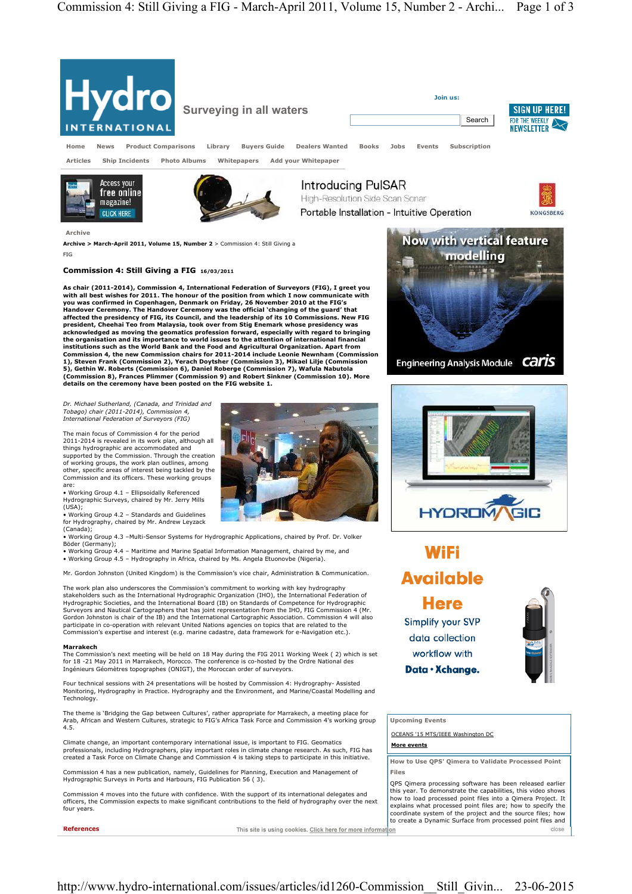

**details on the ceremony have been posted on the FIG website 1.** *Dr. Michael Sutherland, (Canada, and Trinidad and Tobago) chair (2011-2014), Commission 4,* 

The main focus of Commission 4 for the period 2011-2014 is revealed in its work plan, although all things hydrographic are accommodated and supported by the Commission. Through the creation of working groups, the work plan outlines, among other, specific areas of interest being tackled by the Commission and its officers. These working groups

*International Federation of Surveyors (FIG)* 

are: • Working Group 4.1 – Ellipsoidally Referenced Hydrographic Surveys, chaired by Mr. Jerry Mills (USA);

• Working Group 4.2 – Standards and Guidelines for Hydrography, chaired by Mr. Andrew Leyzack (Canada);

• Working Group 4.3 –Multi-Sensor Systems for Hydrographic Applications, chaired by Prof. Dr. Volker

Böder (Germany); • Working Group 4.4 – Maritime and Marine Spatial Information Management, chaired by me, and • Working Group 4.5 – Hydrography in Africa, chaired by Ms. Angela Etuonovbe (Nigeria).

Mr. Gordon Johnston (United Kingdom) is the Commission's vice chair, Administration & Communication.

The work plan also underscores the Commission's commitment to working with key hydrography<br>stakeholders such as the International Hydrographic Organization (IHO), the International Federation of<br>Hydrographic Societies, and Surveyors and Nautical Cartographers that has joint representation from the IHO, FIG Commission 4 (Mr. Gordon Johnston is chair of the IB) and the International Cartographic Association. Commission 4 will also articipate in co-operation with relevant United Nations agencies on topics that are related to the Commission's expertise and interest (e.g. marine cadastre, data framework for e-Navigation etc.).

## **Marrakech**

The Commission's next meeting will be held on 18 May during the FIG 2011 Working Week ( 2) which is set<br>for 18 -21 May 2011 in Marrakech, Morocco. The conference is co-hosted by the Ordre National des Ingénieurs Géomètres topographes (ONIGT), the Moroccan order of surveyors.

Four technical sessions with 24 presentations will be hosted by Commission 4: Hydrography- Assisted Monitoring, Hydrography in Practice. Hydrography and the Environment, and Marine/Coastal Modelling and Technology.

The theme is 'Bridging the Gap between Cultures', rather appropriate for Marrakech, a meeting place for<br>Arab, African and Western Cultures, strategic to FIG's Africa Task Force and Commission 4's working group<br>4.5.

Climate change, an important contemporary international issue, is important to FIG. Geomatics professionals, including Hydrographers, play important roles in climate change research. As such, FIG has created a Task Force on Climate Change and Commission 4 is taking steps to participate in this initiative.

Commission 4 has a new publication, namely, Guidelines for Planning, Execution and Management of Hydrographic Surveys in Ports and Harbours, FIG Publication 56 ( 3).

Commission 4 moves into the future with confidence. With the support of its international delegates and officers, the Commission expects to make significant contributions to the field of hydrography over the next four years.

**References** 

This site is using cookies. Click here for more information



**WiFi Available Here Simplify your SVP** data collection



**Upcoming Events** 

OCEANS '15 MTS/IEEE Washington DC

workflow with Data · Xchange.

**More events**

**How to Use QPS' Qimera to Validate Processed Point Files** 

QPS Qimera processing software has been released earlier this year. To demonstrate the capabilities, this video shows how to load processed point files into a Qimera Project. It explains what processed point files are; how to specify the coordinate system of the project and the source files; how to create a Dynamic Surface from processed point files and close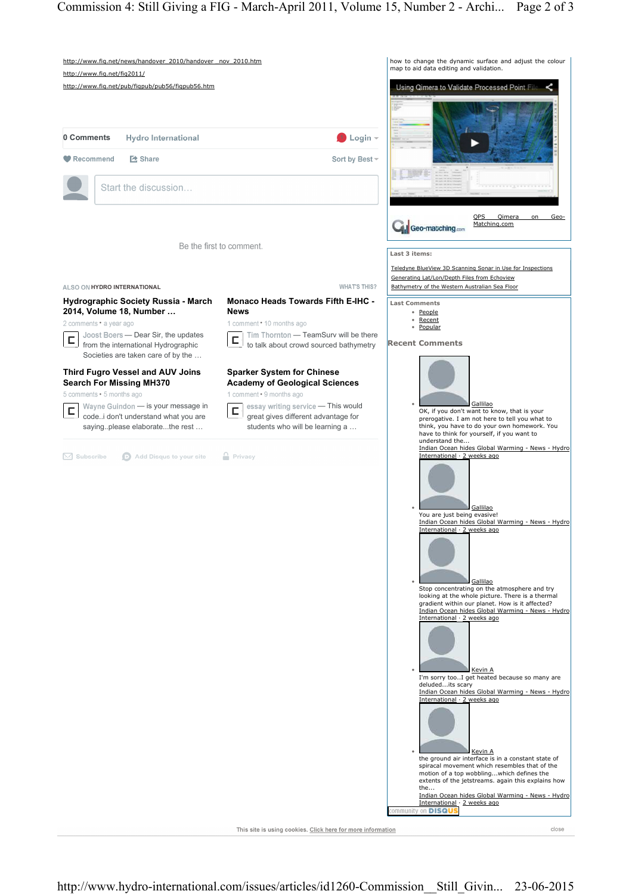